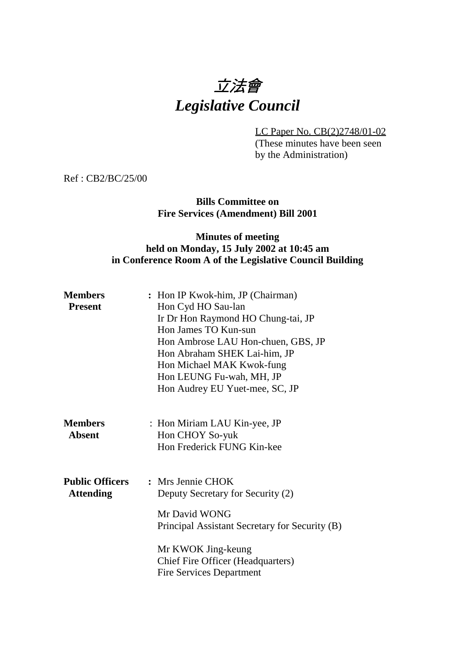# 立法會 *Legislative Council*

LC Paper No. CB(2)2748/01-02

(These minutes have been seen by the Administration)

Ref : CB2/BC/25/00

# **Bills Committee on Fire Services (Amendment) Bill 2001**

# **Minutes of meeting held on Monday, 15 July 2002 at 10:45 am in Conference Room A of the Legislative Council Building**

| <b>Members</b><br><b>Present</b>           | : Hon IP Kwok-him, JP (Chairman)<br>Hon Cyd HO Sau-lan<br>Ir Dr Hon Raymond HO Chung-tai, JP<br>Hon James TO Kun-sun<br>Hon Ambrose LAU Hon-chuen, GBS, JP<br>Hon Abraham SHEK Lai-him, JP<br>Hon Michael MAK Kwok-fung<br>Hon LEUNG Fu-wah, MH, JP<br>Hon Audrey EU Yuet-mee, SC, JP |
|--------------------------------------------|---------------------------------------------------------------------------------------------------------------------------------------------------------------------------------------------------------------------------------------------------------------------------------------|
| <b>Members</b><br><b>Absent</b>            | : Hon Miriam LAU Kin-yee, JP<br>Hon CHOY So-yuk<br>Hon Frederick FUNG Kin-kee                                                                                                                                                                                                         |
| <b>Public Officers</b><br><b>Attending</b> | : Mrs Jennie CHOK<br>Deputy Secretary for Security (2)<br>Mr David WONG<br>Principal Assistant Secretary for Security (B)<br>Mr KWOK Jing-keung<br><b>Chief Fire Officer (Headquarters)</b><br><b>Fire Services Department</b>                                                        |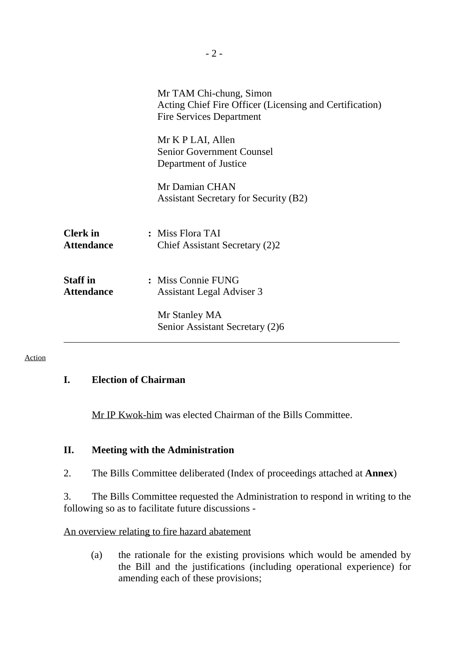|                                      | Mr TAM Chi-chung, Simon<br>Acting Chief Fire Officer (Licensing and Certification)<br><b>Fire Services Department</b> |
|--------------------------------------|-----------------------------------------------------------------------------------------------------------------------|
|                                      | Mr K P LAI, Allen<br><b>Senior Government Counsel</b><br>Department of Justice                                        |
|                                      | Mr Damian CHAN<br><b>Assistant Secretary for Security (B2)</b>                                                        |
| Clerk in<br><b>Attendance</b>        | : Miss Flora TAI<br>Chief Assistant Secretary (2)2                                                                    |
| <b>Staff</b> in<br><b>Attendance</b> | : Miss Connie FUNG<br><b>Assistant Legal Adviser 3</b>                                                                |
|                                      | Mr Stanley MA<br>Senior Assistant Secretary (2)6                                                                      |

#### Action

## **I. Election of Chairman**

Mr IP Kwok-him was elected Chairman of the Bills Committee.

#### **II. Meeting with the Administration**

2. The Bills Committee deliberated (Index of proceedings attached at **Annex**)

3. The Bills Committee requested the Administration to respond in writing to the following so as to facilitate future discussions -

#### An overview relating to fire hazard abatement

(a) the rationale for the existing provisions which would be amended by the Bill and the justifications (including operational experience) for amending each of these provisions;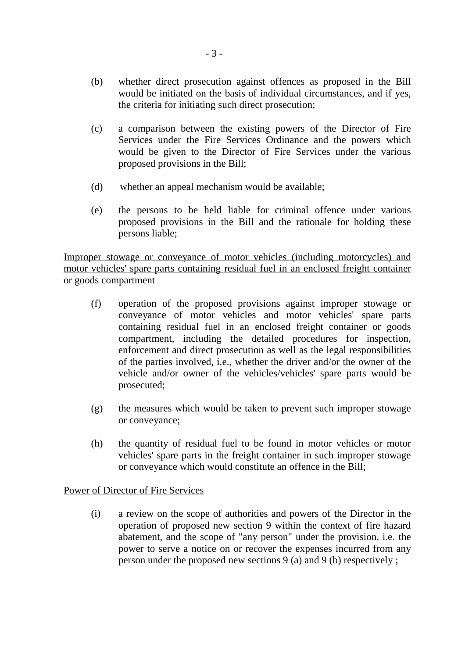- (b) whether direct prosecution against offences as proposed in the Bill would be initiated on the basis of individual circumstances, and if yes, the criteria for initiating such direct prosecution;
- (c) a comparison between the existing powers of the Director of Fire Services under the Fire Services Ordinance and the powers which would be given to the Director of Fire Services under the various proposed provisions in the Bill;
- (d) whether an appeal mechanism would be available;
- (e) the persons to be held liable for criminal offence under various proposed provisions in the Bill and the rationale for holding these persons liable;

Improper stowage or conveyance of motor vehicles (including motorcycles) and motor vehicles' spare parts containing residual fuel in an enclosed freight container or goods compartment

- (f) operation of the proposed provisions against improper stowage or conveyance of motor vehicles and motor vehicles' spare parts containing residual fuel in an enclosed freight container or goods compartment, including the detailed procedures for inspection, enforcement and direct prosecution as well as the legal responsibilities of the parties involved, i.e., whether the driver and/or the owner of the vehicle and/or owner of the vehicles/vehicles' spare parts would be prosecuted;
- (g) the measures which would be taken to prevent such improper stowage or conveyance;
- (h) the quantity of residual fuel to be found in motor vehicles or motor vehicles' spare parts in the freight container in such improper stowage or conveyance which would constitute an offence in the Bill;

#### Power of Director of Fire Services

(i) a review on the scope of authorities and powers of the Director in the operation of proposed new section 9 within the context of fire hazard abatement, and the scope of "any person" under the provision, i.e. the power to serve a notice on or recover the expenses incurred from any person under the proposed new sections 9 (a) and 9 (b) respectively ;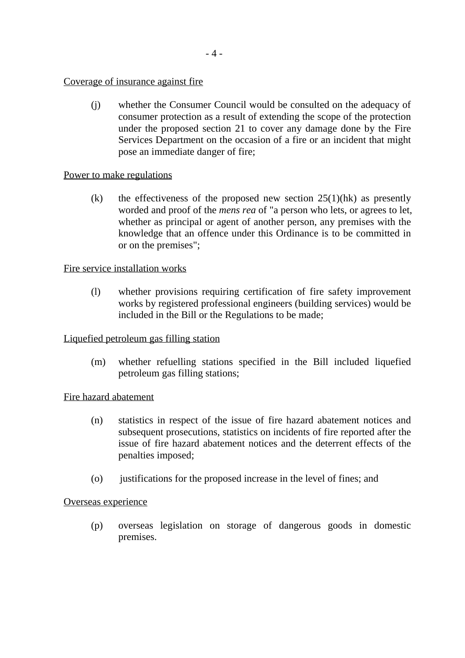# Coverage of insurance against fire

(j) whether the Consumer Council would be consulted on the adequacy of consumer protection as a result of extending the scope of the protection under the proposed section 21 to cover any damage done by the Fire Services Department on the occasion of a fire or an incident that might pose an immediate danger of fire;

## Power to make regulations

(k) the effectiveness of the proposed new section  $25(1)(hk)$  as presently worded and proof of the *mens rea* of "a person who lets, or agrees to let, whether as principal or agent of another person, any premises with the knowledge that an offence under this Ordinance is to be committed in or on the premises";

#### Fire service installation works

(l) whether provisions requiring certification of fire safety improvement works by registered professional engineers (building services) would be included in the Bill or the Regulations to be made;

# Liquefied petroleum gas filling station

(m) whether refuelling stations specified in the Bill included liquefied petroleum gas filling stations;

#### Fire hazard abatement

- (n) statistics in respect of the issue of fire hazard abatement notices and subsequent prosecutions, statistics on incidents of fire reported after the issue of fire hazard abatement notices and the deterrent effects of the penalties imposed;
- (o) justifications for the proposed increase in the level of fines; and

#### Overseas experience

(p) overseas legislation on storage of dangerous goods in domestic premises.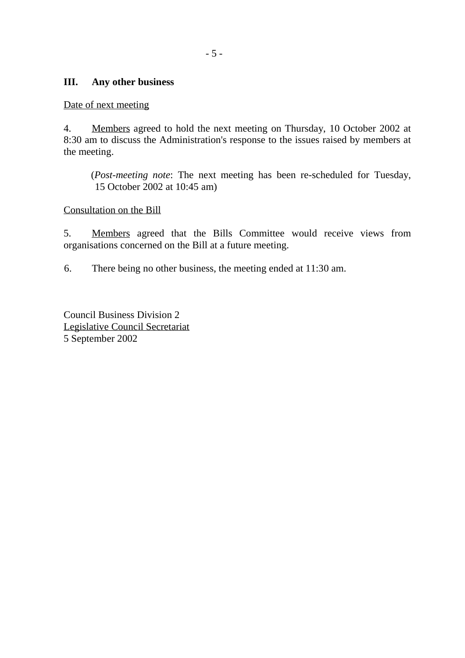# **III. Any other business**

Date of next meeting

4. Members agreed to hold the next meeting on Thursday, 10 October 2002 at 8:30 am to discuss the Administration's response to the issues raised by members at the meeting.

(*Post-meeting note*: The next meeting has been re-scheduled for Tuesday, 15 October 2002 at 10:45 am)

# Consultation on the Bill

5. Members agreed that the Bills Committee would receive views from organisations concerned on the Bill at a future meeting.

6. There being no other business, the meeting ended at 11:30 am.

Council Business Division 2 Legislative Council Secretariat 5 September 2002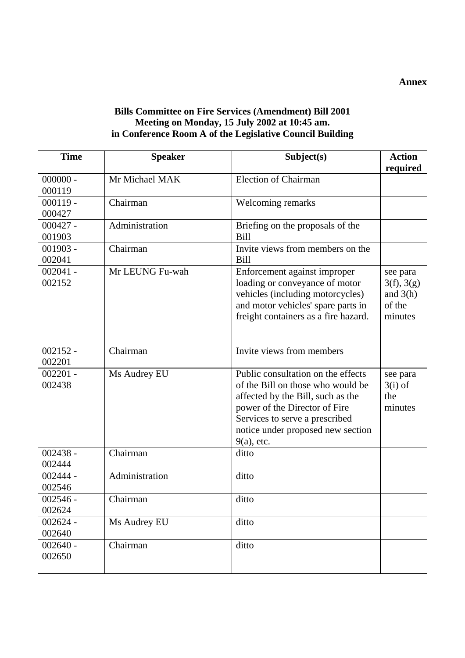# **Bills Committee on Fire Services (Amendment) Bill 2001 Meeting on Monday, 15 July 2002 at 10:45 am. in Conference Room A of the Legislative Council Building**

| <b>Time</b>          | <b>Speaker</b>  | Subject(s)                                                                                                                                                                                                                            | <b>Action</b><br>required                                 |
|----------------------|-----------------|---------------------------------------------------------------------------------------------------------------------------------------------------------------------------------------------------------------------------------------|-----------------------------------------------------------|
| $000000 -$<br>000119 | Mr Michael MAK  | Election of Chairman                                                                                                                                                                                                                  |                                                           |
| $000119 -$<br>000427 | Chairman        | Welcoming remarks                                                                                                                                                                                                                     |                                                           |
| $000427 -$<br>001903 | Administration  | Briefing on the proposals of the<br>Bill                                                                                                                                                                                              |                                                           |
| $001903 -$<br>002041 | Chairman        | Invite views from members on the<br>Bill                                                                                                                                                                                              |                                                           |
| $002041 -$<br>002152 | Mr LEUNG Fu-wah | Enforcement against improper<br>loading or conveyance of motor<br>vehicles (including motorcycles)<br>and motor vehicles' spare parts in<br>freight containers as a fire hazard.                                                      | see para<br>3(f), 3(g)<br>and $3(h)$<br>of the<br>minutes |
| $002152 -$<br>002201 | Chairman        | Invite views from members                                                                                                                                                                                                             |                                                           |
| $002201 -$<br>002438 | Ms Audrey EU    | Public consultation on the effects<br>of the Bill on those who would be<br>affected by the Bill, such as the<br>power of the Director of Fire<br>Services to serve a prescribed<br>notice under proposed new section<br>$9(a)$ , etc. | see para<br>$3(i)$ of<br>the<br>minutes                   |
| $002438 -$<br>002444 | Chairman        | ditto                                                                                                                                                                                                                                 |                                                           |
| $002444 -$<br>002546 | Administration  | ditto                                                                                                                                                                                                                                 |                                                           |
| $002546 -$<br>002624 | Chairman        | ditto                                                                                                                                                                                                                                 |                                                           |
| $002624 -$<br>002640 | Ms Audrey EU    | ditto                                                                                                                                                                                                                                 |                                                           |
| $002640 -$<br>002650 | Chairman        | ditto                                                                                                                                                                                                                                 |                                                           |

**Annex**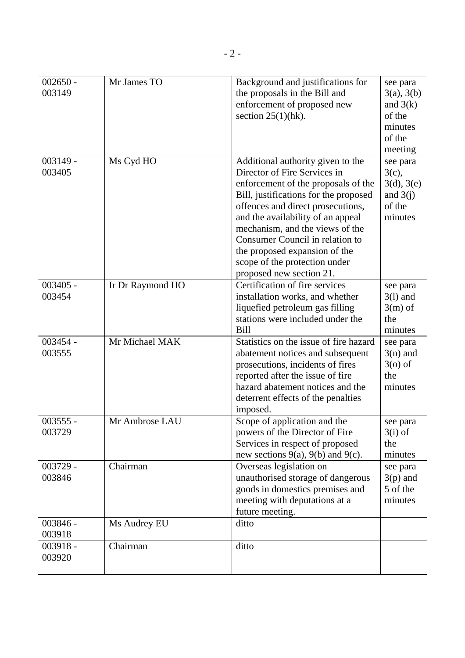| $002650 -$ | Mr James TO      | Background and justifications for         |                        |
|------------|------------------|-------------------------------------------|------------------------|
| 003149     |                  | the proposals in the Bill and             | see para<br>3(a), 3(b) |
|            |                  | enforcement of proposed new               | and $3(k)$             |
|            |                  |                                           | of the                 |
|            |                  | section $25(1)(hk)$ .                     | minutes                |
|            |                  |                                           | of the                 |
|            |                  |                                           |                        |
|            |                  |                                           | meeting                |
| $003149 -$ | Ms Cyd HO        | Additional authority given to the         | see para               |
| 003405     |                  | Director of Fire Services in              | $3(c)$ ,               |
|            |                  | enforcement of the proposals of the       | 3(d), 3(e)             |
|            |                  | Bill, justifications for the proposed     | and $3(j)$             |
|            |                  | offences and direct prosecutions,         | of the                 |
|            |                  | and the availability of an appeal         | minutes                |
|            |                  | mechanism, and the views of the           |                        |
|            |                  | Consumer Council in relation to           |                        |
|            |                  | the proposed expansion of the             |                        |
|            |                  | scope of the protection under             |                        |
|            |                  | proposed new section 21.                  |                        |
| $003405 -$ | Ir Dr Raymond HO | Certification of fire services            | see para               |
| 003454     |                  | installation works, and whether           | $3(1)$ and             |
|            |                  | liquefied petroleum gas filling           | $3(m)$ of              |
|            |                  | stations were included under the          | the                    |
|            |                  | <b>Bill</b>                               | minutes                |
| 003454 -   | Mr Michael MAK   | Statistics on the issue of fire hazard    | see para               |
| 003555     |                  | abatement notices and subsequent          | $3(n)$ and             |
|            |                  | prosecutions, incidents of fires          | $30$ of                |
|            |                  | reported after the issue of fire          | the                    |
|            |                  | hazard abatement notices and the          | minutes                |
|            |                  | deterrent effects of the penalties        |                        |
|            |                  | imposed.                                  |                        |
| $003555 -$ | Mr Ambrose LAU   | Scope of application and the              | see para               |
| 003729     |                  | powers of the Director of Fire            | $3(i)$ of              |
|            |                  | Services in respect of proposed           | the                    |
|            |                  | new sections $9(a)$ , $9(b)$ and $9(c)$ . | minutes                |
| $003729 -$ | Chairman         | Overseas legislation on                   | see para               |
| 003846     |                  | unauthorised storage of dangerous         | $3(p)$ and             |
|            |                  | goods in domestics premises and           | 5 of the               |
|            |                  | meeting with deputations at a             | minutes                |
|            |                  | future meeting.                           |                        |
| $003846 -$ | Ms Audrey EU     | ditto                                     |                        |
| 003918     |                  |                                           |                        |
| $003918 -$ | Chairman         | ditto                                     |                        |
| 003920     |                  |                                           |                        |
|            |                  |                                           |                        |